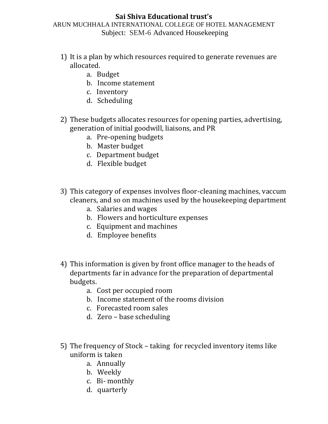## **Sai Shiva Educational trust's** ARUN MUCHHALA INTERNATIONAL COLLEGE OF HOTEL MANAGEMENT

Subject: SEM-6 Advanced Housekeeping

- 1) It is a plan by which resources required to generate revenues are allocated.
	- a. Budget
	- b. Income statement
	- c. Inventory
	- d. Scheduling
- 2) These budgets allocates resources for opening parties, advertising, generation of initial goodwill, liaisons, and PR
	- a. Pre-opening budgets
	- b. Master budget
	- c. Department budget
	- d. Flexible budget
- 3) This category of expenses involves floor-cleaning machines, vaccum cleaners, and so on machines used by the housekeeping department
	- a. Salaries and wages
	- b. Flowers and horticulture expenses
	- c. Equipment and machines
	- d. Employee benefits
- 4) This information is given by front office manager to the heads of departments far in advance for the preparation of departmental budgets.
	- a. Cost per occupied room
	- b. Income statement of the rooms division
	- c. Forecasted room sales
	- d. Zero base scheduling
- 5) The frequency of Stock taking for recycled inventory items like uniform is taken
	- a. Annually
	- b. Weekly
	- c. Bi- monthly
	- d. quarterly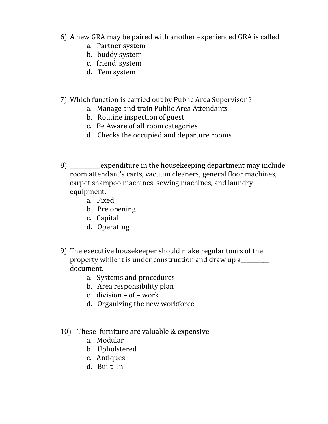- 6) A new GRA may be paired with another experienced GRA is called
	- a. Partner system
	- b. buddy system
	- c. friend system
	- d. Tem system
- 7) Which function is carried out by Public Area Supervisor ?
	- a. Manage and train Public Area Attendants
	- b. Routine inspection of guest
	- c. Be Aware of all room categories
	- d. Checks the occupied and departure rooms
- 8) \_\_\_\_\_\_\_\_\_\_\_expenditure in the housekeeping department may include room attendant's carts, vacuum cleaners, general floor machines, carpet shampoo machines, sewing machines, and laundry equipment.
	- a. Fixed
	- b. Pre opening
	- c. Capital
	- d. Operating
- 9) The executive housekeeper should make regular tours of the property while it is under construction and draw up a\_\_\_\_\_\_\_\_\_\_ document.
	- a. Systems and procedures
	- b. Area responsibility plan
	- c. division of work
	- d. Organizing the new workforce
- 10) These furniture are valuable & expensive
	- a. Modular
	- b. Upholstered
	- c. Antiques
	- d. Built- In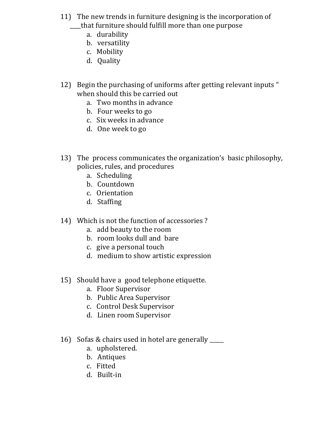- 11) The new trends in furniture designing is the incorporation of \_\_\_\_that furniture should fulfill more than one purpose
	- a. durability
	- b. versatility
	- c. Mobility
	- d. Quality
- 12) Begin the purchasing of uniforms after getting relevant inputs " when should this be carried out
	- a. Two months in advance
	- b. Four weeks to go
	- c. Six weeks in advance
	- d. One week to go
- 13) The process communicates the organization's basic philosophy, policies, rules, and procedures
	- a. Scheduling
	- b. Countdown
	- c. Orientation
	- d. Staffing
- 14) Which is not the function of accessories ?
	- a. add beauty to the room
	- b. room looks dull and bare
	- c. give a personal touch
	- d. medium to show artistic expression
- 15) Should have a good telephone etiquette.
	- a. Floor Supervisor
	- b. Public Area Supervisor
	- c. Control Desk Supervisor
	- d. Linen room Supervisor
- 16) Sofas & chairs used in hotel are generally \_\_\_\_\_
	- a. upholstered.
	- b. Antiques
	- c. Fitted
	- d. Built-in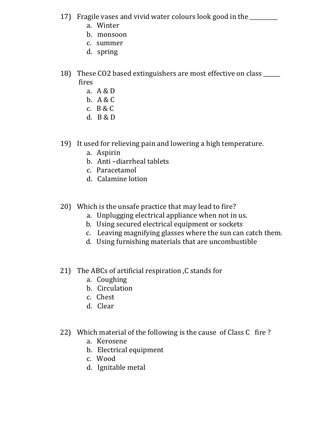- 17) Fragile vases and vivid water colours look good in the \_\_\_\_\_\_\_\_\_\_
	- a. Winter
	- b. monsoon
	- c. summer
	- d. spring
- 18) These CO2 based extinguishers are most effective on class \_\_\_\_\_\_ fires
	- a. A & D
	- b. A & C
	- c. B & C
	- d. B & D
- 19) It used for relieving pain and lowering a high temperature.
	- a. Aspirin
	- b. Anti –diarrheal tablets
	- c. Paracetamol
	- d. Calamine lotion
- 20) Which is the unsafe practice that may lead to fire?
	- a. Unplugging electrical appliance when not in us.
	- b. Using secured electrical equipment or sockets
	- c. Leaving magnifying glasses where the sun can catch them.
	- d. Using furnishing materials that are uncombustible
- 21) The ABCs of artificial respiration ,C stands for
	- a. Coughing
	- b. Circulation
	- c. Chest
	- d. Clear
- 22) Which material of the following is the cause of Class C fire ?
	- a. Kerosene
	- b. Electrical equipment
	- c. Wood
	- d. Ignitable metal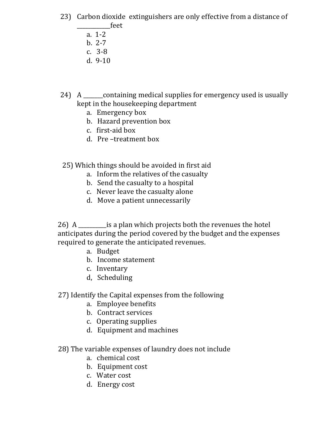- 23) Carbon dioxide extinguishers are only effective from a distance of \_\_\_\_\_\_\_\_\_\_\_\_feet
	- a. 1-2
	- b. 2-7
	- c. 3-8
	- d. 9-10
- 24) A containing medical supplies for emergency used is usually kept in the housekeeping department
	- a. Emergency box
	- b. Hazard prevention box
	- c. first-aid box
	- d. Pre –treatment box

# 25) Which things should be avoided in first aid

- a. Inform the relatives of the casualty
- b. Send the casualty to a hospital
- c. Never leave the casualty alone
- d. Move a patient unnecessarily

26) A \_\_\_\_\_\_\_\_\_\_is a plan which projects both the revenues the hotel anticipates during the period covered by the budget and the expenses required to generate the anticipated revenues.

- a. Budget
- b. Income statement
- c. Inventary
- d, Scheduling

# 27) Identify the Capital expenses from the following

- a. Employee benefits
- b. Contract services
- c. Operating supplies
- d. Equipment and machines

## 28) The variable expenses of laundry does not include

- a. chemical cost
- b. Equipment cost
- c. Water cost
- d. Energy cost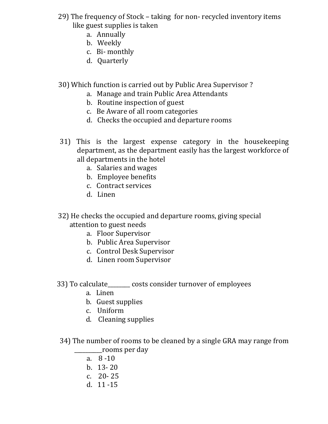- 29) The frequency of Stock taking for non- recycled inventory items like guest supplies is taken
	- a. Annually
	- b. Weekly
	- c. Bi- monthly
	- d. Quarterly

30) Which function is carried out by Public Area Supervisor ?

- a. Manage and train Public Area Attendants
- b. Routine inspection of guest
- c. Be Aware of all room categories
- d. Checks the occupied and departure rooms
- 31) This is the largest expense category in the housekeeping department, as the department easily has the largest workforce of all departments in the hotel
	- a. Salaries and wages
	- b. Employee benefits
	- c. Contract services
	- d. Linen

 32) He checks the occupied and departure rooms, giving special attention to guest needs

- a. Floor Supervisor
- b. Public Area Supervisor
- c. Control Desk Supervisor
- d. Linen room Supervisor
- 33) To calculate\_\_\_\_\_\_\_\_ costs consider turnover of employees
	- a. Linen
	- b. Guest supplies
	- c. Uniform
	- d. Cleaning supplies

 34) The number of rooms to be cleaned by a single GRA may range from \_\_\_\_\_\_\_\_\_\_rooms per day

- a. 8 -10
- b. 13- 20
- c. 20- 25
- d. 11 -15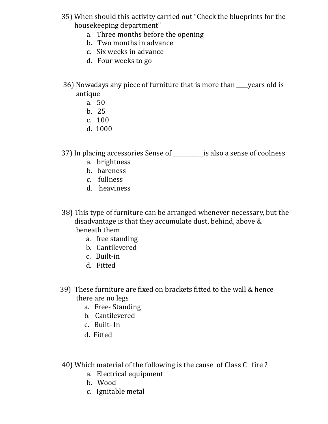- 35) When should this activity carried out "Check the blueprints for the housekeeping department"
	- a. Three months before the opening
	- b. Two months in advance
	- c. Six weeks in advance
	- d. Four weeks to go
- 36) Nowadays any piece of furniture that is more than \_\_\_\_years old is antique
	- a. 50
	- b. 25
	- c. 100
	- d. 1000

37) In placing accessories Sense of \_\_\_\_\_\_\_\_\_\_\_is also a sense of coolness

- a. brightness
- b. bareness
- c. fullness
- d. heaviness
- 38) This type of furniture can be arranged whenever necessary, but the disadvantage is that they accumulate dust, behind, above & beneath them
	- a. free standing
	- b. Cantilevered
	- c. Built-in
	- d. Fitted
- 39) These furniture are fixed on brackets fitted to the wall & hence there are no legs
	- a. Free- Standing
	- b. Cantilevered
	- c. Built- In
	- d. Fitted
- 40) Which material of the following is the cause of Class C fire ?
	- a. Electrical equipment
	- b. Wood
	- c. Ignitable metal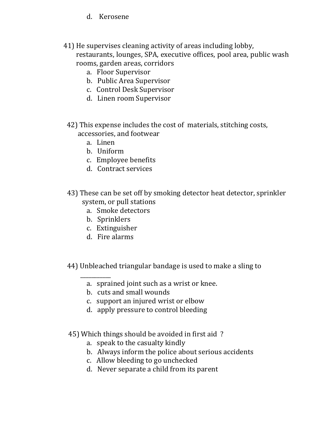- d. Kerosene
- 41) He supervises cleaning activity of areas including lobby, restaurants, lounges, SPA, executive offices, pool area, public wash rooms, garden areas, corridors
	- a. Floor Supervisor
	- b. Public Area Supervisor
	- c. Control Desk Supervisor
	- d. Linen room Supervisor
	- 42) This expense includes the cost of materials, stitching costs, accessories, and footwear
		- a. Linen
		- b. Uniform
		- c. Employee benefits
		- d. Contract services
	- 43) These can be set off by smoking detector heat detector, sprinkler system, or pull stations
		- a. Smoke detectors
		- b. Sprinklers
		- c. Extinguisher
		- d. Fire alarms

 $\overline{\phantom{a}}$ 

- 44) Unbleached triangular bandage is used to make a sling to
	- a. sprained joint such as a wrist or knee.
	- b. cuts and small wounds
	- c. support an injured wrist or elbow
	- d. apply pressure to control bleeding
- 45) Which things should be avoided in first aid ?
	- a. speak to the casualty kindly
	- b. Always inform the police about serious accidents
	- c. Allow bleeding to go unchecked
	- d. Never separate a child from its parent